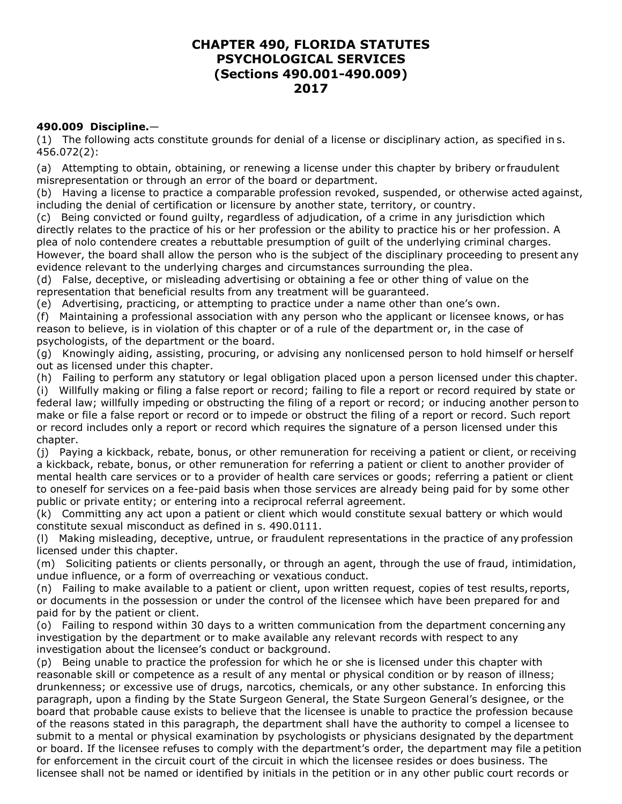## **CHAPTER 490, FLORIDA STATUTES PSYCHOLOGICAL SERVICES (Sections 490.001-490.009) 2017**

## **490.009 Discipline.**—

(1) The following acts constitute grounds for denial of a license or disciplinary action, as specified in s. 456.072(2):

(a) Attempting to obtain, obtaining, or renewing a license under this chapter by bribery or fraudulent misrepresentation or through an error of the board or department.

(b) Having a license to practice a comparable profession revoked, suspended, or otherwise acted against, including the denial of certification or licensure by another state, territory, or country.

(c) Being convicted or found guilty, regardless of adjudication, of a crime in any jurisdiction which directly relates to the practice of his or her profession or the ability to practice his or her profession. A plea of nolo contendere creates a rebuttable presumption of guilt of the underlying criminal charges. However, the board shall allow the person who is the subject of the disciplinary proceeding to present any evidence relevant to the underlying charges and circumstances surrounding the plea.

(d) False, deceptive, or misleading advertising or obtaining a fee or other thing of value on the representation that beneficial results from any treatment will be guaranteed.

(e) Advertising, practicing, or attempting to practice under a name other than one's own.

(f) Maintaining a professional association with any person who the applicant or licensee knows, or has reason to believe, is in violation of this chapter or of a rule of the department or, in the case of psychologists, of the department or the board.

(g) Knowingly aiding, assisting, procuring, or advising any nonlicensed person to hold himself or herself out as licensed under this chapter.

(h) Failing to perform any statutory or legal obligation placed upon a person licensed under this chapter.

(i) Willfully making or filing a false report or record; failing to file a report or record required by state or federal law; willfully impeding or obstructing the filing of a report or record; or inducing another person to make or file a false report or record or to impede or obstruct the filing of a report or record. Such report or record includes only a report or record which requires the signature of a person licensed under this chapter.

(j) Paying a kickback, rebate, bonus, or other remuneration for receiving a patient or client, or receiving a kickback, rebate, bonus, or other remuneration for referring a patient or client to another provider of mental health care services or to a provider of health care services or goods; referring a patient or client to oneself for services on a fee-paid basis when those services are already being paid for by some other public or private entity; or entering into a reciprocal referral agreement.

(k) Committing any act upon a patient or client which would constitute sexual battery or which would constitute sexual misconduct as defined in s. 490.0111.

(l) Making misleading, deceptive, untrue, or fraudulent representations in the practice of any profession licensed under this chapter.

(m) Soliciting patients or clients personally, or through an agent, through the use of fraud, intimidation, undue influence, or a form of overreaching or vexatious conduct.

(n) Failing to make available to a patient or client, upon written request, copies of test results, reports, or documents in the possession or under the control of the licensee which have been prepared for and paid for by the patient or client.

(o) Failing to respond within 30 days to a written communication from the department concerning any investigation by the department or to make available any relevant records with respect to any investigation about the licensee's conduct or background.

(p) Being unable to practice the profession for which he or she is licensed under this chapter with reasonable skill or competence as a result of any mental or physical condition or by reason of illness; drunkenness; or excessive use of drugs, narcotics, chemicals, or any other substance. In enforcing this paragraph, upon a finding by the State Surgeon General, the State Surgeon General's designee, or the board that probable cause exists to believe that the licensee is unable to practice the profession because of the reasons stated in this paragraph, the department shall have the authority to compel a licensee to submit to a mental or physical examination by psychologists or physicians designated by the department or board. If the licensee refuses to comply with the department's order, the department may file a petition for enforcement in the circuit court of the circuit in which the licensee resides or does business. The licensee shall not be named or identified by initials in the petition or in any other public court records or